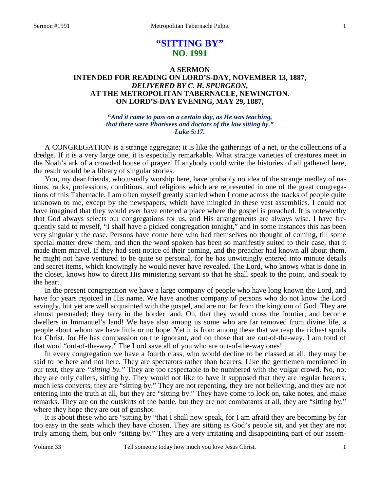# **"SITTING BY" NO. 1991**

### **A SERMON INTENDED FOR READING ON LORD'S-DAY, NOVEMBER 13, 1887,**  *DELIVERED BY C. H. SPURGEON,*  **AT THE METROPOLITAN TABERNACLE, NEWINGTON. ON LORD'S-DAY EVENING, MAY 29, 1887,**

### *"And it came to pass on a certain day, as He was teaching, that there were Pharisees and doctors of the law sitting by." Luke 5:17.*

A CONGREGATION is a strange aggregate; it is like the gatherings of a net, or the collections of a dredge. If it is a very large one, it is especially remarkable. What strange varieties of creatures meet in the Noah's ark of a crowded house of prayer! If anybody could write the histories of all gathered here, the result would be a library of singular stories.

You, my dear friends, who usually worship here, have probably no idea of the strange medley of nations, ranks, professions, conditions, and religions which are represented in one of the great congregations of this Tabernacle. I am often myself greatly startled when I come across the tracks of people quite unknown to me, except by the newspapers, which have mingled in these vast assemblies. I could not have imagined that they would ever have entered a place where the gospel is preached. It is noteworthy that God always selects our congregations for us, and His arrangements are always wise. I have frequently said to myself, "I shall have a picked congregation tonight," and in some instances this has been very singularly the case. Persons have come here who had themselves no thought of coming, till some special matter drew them, and then the word spoken has been so manifestly suited to their case, that it made them marvel. If they had sent notice of their coming, and the preacher had known all about them, he might not have ventured to be quite so personal, for he has unwittingly entered into minute details and secret items, which knowingly he would never have revealed. The Lord, who knows what is done in the closet, knows how to direct His ministering servant so that he shall speak to the point, and speak to the heart.

In the present congregation we have a large company of people who have long known the Lord, and have for years rejoiced in His name. We have another company of persons who do not know the Lord savingly, but yet are well acquainted with the gospel, and are not far from the kingdom of God. They are almost persuaded; they tarry in the border land. Oh, that they would cross the frontier, and become dwellers in Immanuel's land! We have also among us some who are far removed from divine life, a people about whom we have little or no hope. Yet it is from among these that we reap the richest spoils for Christ, for He has compassion on the ignorant, and on those that are out-of-the-way. I am fond of that word "out-of-the-way." The Lord save all of you who are out-of-the-way ones!

In every congregation we have a fourth class, who would decline to be classed at all; they may be said to be here and not here. They are spectators rather than hearers. Like the gentlemen mentioned in our text, they are *"sitting by."* They are too respectable to be numbered with the vulgar crowd. No, no; they are only callers, sitting by. They would not like to have it supposed that they are regular hearers, much less converts, they are "sitting by." They are not repenting, they are not believing, and they are not entering into the truth at all, but they are "sitting by." They have come to look on, take notes, and make remarks. They are on the outskirts of the battle, but they are not combatants at all, they are "sitting by," where they hope they are out of gunshot.

It is about these who are "sitting by "that I shall now speak, for I am afraid they are becoming by far too easy in the seats which they have chosen. They are sitting as God's people sit, and yet they are not truly among them, but only "sitting by." They are a very irritating and disappointing part of our assem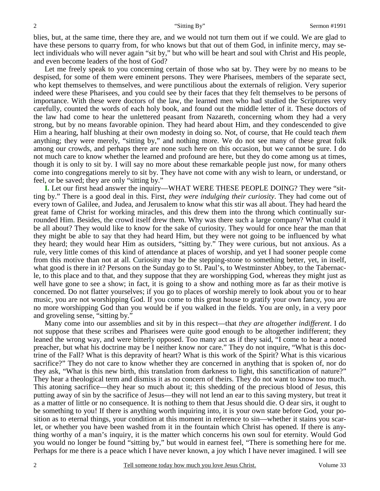blies, but, at the same time, there they are, and we would not turn them out if we could. We are glad to have these persons to quarry from, for who knows but that out of them God, in infinite mercy, may select individuals who will never again "sit by," but who will be heart and soul with Christ and His people, and even become leaders of the host of God?

Let me freely speak to you concerning certain of those who sat by. They were by no means to be despised, for some of them were eminent persons. They were Pharisees, members of the separate sect, who kept themselves to themselves, and were punctilious about the externals of religion. Very superior indeed were these Pharisees, and you could see by their faces that they felt themselves to be persons of importance. With these were doctors of the law, the learned men who had studied the Scriptures very carefully, counted the words of each holy book, and found out the middle letter of it. These doctors of the law had come to hear the unlettered peasant from Nazareth, concerning whom they had a very strong, but by no means favorable opinion. They had heard about Him, and they condescended to give Him a hearing, half blushing at their own modesty in doing so. Not, of course, that He could teach *them* anything; they were merely, "sitting by," and nothing more. We do not see many of these great folk among our crowds, and perhaps there are none such here on this occasion, but we cannot be sure. I do not much care to know whether the learned and profound are here, but they do come among us at times, though it is only to sit by. I will say no more about these remarkable people just now, for many others come into congregations merely to sit by. They have not come with any wish to learn, or understand, or feel, or be saved; they are only "sitting by."

**I.** Let our first head answer the inquiry—WHAT WERE THESE PEOPLE DOING? They were "sitting by." There is a good deal in this. First, *they were indulging their curiosity*. They had come out of every town of Galilee, and Judea, and Jerusalem to know what this stir was all about. They had heard the great fame of Christ for working miracles, and this drew them into the throng which continually surrounded Him. Besides, the crowd itself drew them. Why was there such a large company? What could it be all about? They would like to know for the sake of curiosity. They would for once hear the man that they might be able to say that they had heard Him, but they were not going to be influenced by what they heard; they would hear Him as outsiders, "sitting by." They were curious, but not anxious. As a rule, very little comes of this kind of attendance at places of worship, and yet I had sooner people come from this motive than not at all. Curiosity may be the stepping-stone to something better, yet, in itself, what good is there in it? Persons on the Sunday go to St. Paul's, to Westminster Abbey, to the Tabernacle, to this place and to that, and they suppose that they are worshipping God, whereas they might just as well have gone to see a show; in fact, it is going to a show and nothing more as far as their motive is concerned. Do not flatter yourselves; if you go to places of worship merely to look about you or to hear music, you are not worshipping God. If you come to this great house to gratify your own fancy, you are no more worshipping God than you would be if you walked in the fields. You are only, in a very poor and groveling sense, "sitting by."

Many come into our assemblies and sit by in this respect—that *they are altogether indifferent*. I do not suppose that these scribes and Pharisees were quite good enough to be altogether indifferent; they leaned the wrong way, and were bitterly opposed. Too many act as if they said, "I come to hear a noted preacher, but what his doctrine may be I neither know nor care." They do not inquire, "What is this doctrine of the Fall? What is this depravity of heart? What is this work of the Spirit? What is this vicarious sacrifice?" They do not care to know whether they are concerned in anything that is spoken of, nor do they ask, "What is this new birth, this translation from darkness to light, this sanctification of nature?" They hear a theological term and dismiss it as no concern of theirs. They do not want to know too much. This atoning sacrifice—they hear so much about it; this shedding of the precious blood of Jesus, this putting away of sin by the sacrifice of Jesus—they will not lend an ear to this saving mystery, but treat it as a matter of little or no consequence. It is nothing to them that Jesus should die. O dear sirs, it ought to be something to you! If there is anything worth inquiring into, it is your own state before God, your position as to eternal things, your condition at this moment in reference to sin—whether it stains you scarlet, or whether you have been washed from it in the fountain which Christ has opened. If there is anything worthy of a man's inquiry, it is the matter which concerns his own soul for eternity. Would God you would no longer be found "sitting by," but would in earnest feel, "There is something here for me. Perhaps for me there is a peace which I have never known, a joy which I have never imagined. I will see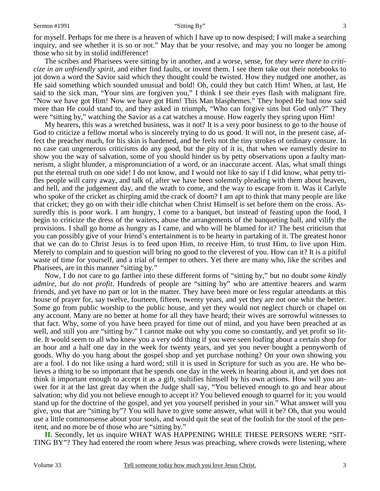for myself. Perhaps for me there is a heaven of which I have up to now despised; I will make a searching inquiry, and see whether it is so or not." May that be your resolve, and may you no longer be among those who sit by in stolid indifference!

The scribes and Pharisees were sitting by in another, and a worse, sense, for *they were there to criticize in an unfriendly spirit,* and either find faults, or invent them. I see them take out their notebooks to jot down a word the Savior said which they thought could be twisted. How they nudged one another, as He said something which sounded unusual and bold! Oh, could they but catch Him! When, at last, He said to the sick man, "Your sins are forgiven you," I think I see their eyes flash with malignant fire. "Now we have got Him! Now we have got Him! This Man blasphemes." They hoped He had now said more than He could stand to, and they asked in triumph, "Who can forgive sins but God only?" They were "sitting by," watching the Savior as a cat watches a mouse. How eagerly they spring upon Him!

My hearers, this was a wretched business, was it not? It is a very poor business to go to the house of God to criticize a fellow mortal who is sincerely trying to do us good. It will not, in the present case, affect the preacher much, for his skin is hardened, and he feels not the tiny strokes of ordinary censure. In no case can ungenerous criticisms do any good, but the pity of it is, that when we earnestly desire to show you the way of salvation, some of you should hinder us by petty observations upon a faulty mannerism, a slight blunder, a mispronunciation of a word, or an inaccurate accent. Alas, what small things put the eternal truth on one side! I do not know, and I would not like to say if I did know, what petty trifles people will carry away, and talk of, after we have been solemnly pleading with them about heaven, and hell, and the judgement day, and the wrath to come, and the way to escape from it. Was it Carlyle who spoke of the cricket as chirping amid the crack of doom? I am apt to think that many people are like that cricket; they go on with their idle chitchat when Christ Himself is set before them on the cross. Assuredly this is poor work. I am hungry, I come to a banquet, but instead of feasting upon the food, I begin to criticize the dress of the waiters, abuse the arrangements of the banqueting hall, and vilify the provisions. I shall go home as hungry as I came, and who will be blamed for it? The best criticism that you can possibly give of your friend's entertainment is to be hearty in partaking of it. The greatest honor that we can do to Christ Jesus is to feed upon Him, to receive Him, to trust Him, to live upon Him. Merely to complain and to question will bring no good to the cleverest of you. How can it? It is a pitiful waste of time for yourself, and a trial of temper to others. Yet there are many who, like the scribes and Pharisees, are in this manner "sitting by."

Now, I do not care to go farther into these different forms of "sitting by," but no doubt *some kindly admire, but do not profit*. Hundreds of people are "sitting by" who are attentive hearers and warm friends, and yet have no part or lot in the matter. They have been more or less regular attendants at this house of prayer for, say twelve, fourteen, fifteen, twenty years, and yet they are not one whit the better. Some go from public worship to the public house, and yet they would not neglect church or chapel on any account. Many are no better at home for all they have heard; their wives are sorrowful witnesses to that fact. Why, some of you have been prayed for time out of mind, and you have been preached at as well, and still you are "sitting by." I cannot make out why you come so constantly, and yet profit so little. It would seem to all who knew you a very odd thing if you were seen loafing about a certain shop for an hour and a half one day in the week for twenty years, and yet you never bought a pennyworth of goods. Why do you hang about the gospel shop and yet purchase nothing? On your own showing you are a fool. I do not like using a hard word; still it is used in Scripture for such as you are. He who believes a thing to be so important that he spends one day in the week in hearing about it, and yet does not think it important enough to accept it as a gift, stultifies himself by his own actions. How will you answer for it at the last great day when the Judge shall say, "You believed enough to go and hear about salvation; why did you not believe enough to accept it? You believed enough to quarrel for it; you would stand up for the doctrine of the gospel, and yet you yourself perished in your sin." What answer will you give, you that are "sitting by"? You will have to give some answer, what will it be? Oh, that you would use a little commonsense about your souls, and would quit the seat of the foolish for the stool of the penitent, and no more be of those who are "sitting by."

**II.** Secondly, let us inquire WHAT WAS HAPPENING WHILE THESE PERSONS WERE "SIT-TING BY"? They had entered the room where Jesus was preaching, where crowds were listening, where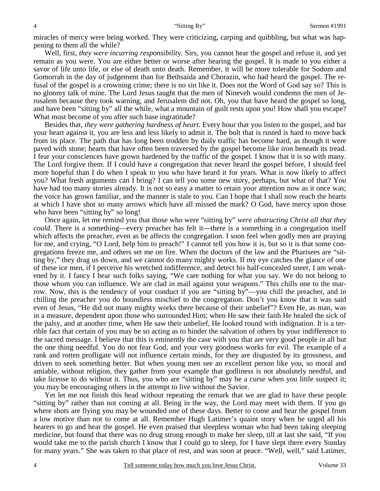miracles of mercy were being worked. They were criticizing, carping and quibbling, but what was happening to them all the while?

Well, first, *they were incurring responsibilit*y. Sirs, you cannot hear the gospel and refuse it, and yet remain as you were. You are either better or worse after hearing the gospel. It is made to you either a savor of life unto life, or else of death unto death. Remember, it will be more tolerable for Sodom and Gomorrah in the day of judgement than for Bethsaida and Chorazin, who had heard the gospel. The refusal of the gospel is a crowning crime; there is no sin like it. Does not the Word of God say so? This is no gloomy talk of mine. The Lord Jesus taught that the men of Nineveh would condemn the men of Jerusalem because they took warning, and Jerusalem did not. Oh, you that have heard the gospel so long, and have been "sitting by" all the while, what a mountain of guilt rests upon you! How shall you escape? What must become of you after such base ingratitude?

Besides that, *they were gathering hardness of heart*. Every hour that you listen to the gospel, and bar your heart against it, you are less and less likely to admit it. The bolt that is rusted is hard to move back from its place. The path that has long been trodden by daily traffic has become hard, as though it were paved with stone; hearts that have often been traversed by the gospel become like iron beneath its tread. I fear your consciences have grown hardened by the traffic of the gospel. I know that it is so with many. The Lord forgive them. If I could have a congregation that never heard the gospel before, I should feel more hopeful than I do when I speak to you who have heard it for years. What is now likely to affect you? What fresh arguments can I bring? I can tell you some new story, perhaps, but what of that? You have had too many stories already. It is not so easy a matter to retain your attention now as it once was; the voice has grown familiar, and the manner is stale to you. Can I hope that I shall now reach the hearts at which I have shot so many arrows which have all missed the mark? O God, have mercy upon those who have been "sitting by" so long!

Once again, let me remind you that those who were "sitting by" *were obstructing Christ all that they could*. There is a something—every preacher has felt it—there is a something in a congregation itself which affects the preacher, even as he affects the congregation. I soon feel when godly men are praying for me, and crying, "O Lord, help him to preach!" I cannot tell you how it is, but so it is that some congregations freeze me, and others set me on fire. When the doctors of the law and the Pharisees are "sitting by," they drag us down, and we cannot do many mighty works. If my eye catches the glance of one of these ice men, if I perceive his wretched indifference, and detect his half-concealed sneer, I am weakened by it. I fancy I hear such folks saying, "We care nothing for what you say. We do not belong to those whom you can influence. We are clad in mail against your weapons." This chills one to the marrow. Now, this is the tendency of your conduct if you are "sitting by"—you chill the preacher, and in chilling the preacher you do boundless mischief to the congregation. Don't you know that it was said even of Jesus, "He did not many mighty works there because of their unbelief"? Even He, as man, was in a measure, dependent upon those who surrounded Him; when He saw their faith He healed the sick of the palsy, and at another time, when He saw their unbelief, He looked round with indignation. It is a terrible fact that certain of you may be so acting as to hinder the salvation of others by your indifference to the sacred message. I believe that this is eminently the case with you that are very good people in all but the one thing needful. You do not fear God, and your very goodness works for evil. The example of a rank and rotten profligate will not influence certain minds, for they are disgusted by its grossness, and driven to seek something better. But when young men see an excellent person like you, so moral and amiable, without religion, they gather from your example that godliness is not absolutely needful, and take license to do without it. Thus, you who are "sitting by" may be a curse when you little suspect it; you may be encouraging others in the attempt to live without the Savior.

Yet let me not finish this head without repeating the remark that we are glad to have these people "sitting by" rather than not coming at all. Being in the way, the Lord may meet with them. If you go where shots are flying you may be wounded one of these days. Better to come and hear the gospel from a low motive than not to come at all. Remember Hugh Latimer's quaint story when he urged all his hearers to go and hear the gospel. He even praised that sleepless woman who had been taking sleeping medicine, but found that there was no drug strong enough to make her sleep, till at last she said, "If you would take me to the parish church I know that I could go to sleep, for I have slept there every Sunday for many years." She was taken to that place of rest, and was soon at peace. "Well, well," said Latimer,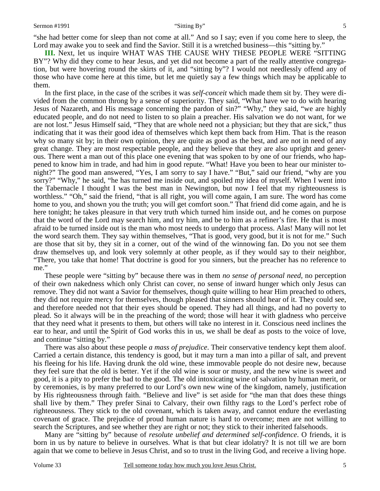"she had better come for sleep than not come at all." And so I say; even if you come here to sleep, the Lord may awake you to seek and find the Savior. Still it is a wretched business—this "sitting by."

**III.** Next, let us inquire WHAT WAS THE CAUSE WHY THESE PEOPLE WERE "SITTING BY"? Why did they come to hear Jesus, and yet did not become a part of the really attentive congregation, but were hovering round the skirts of it, and "sitting by"? I would not needlessly offend any of those who have come here at this time, but let me quietly say a few things which may be applicable to them.

In the first place, in the case of the scribes it was *self-conceit* which made them sit by. They were divided from the common throng by a sense of superiority. They said, "What have we to do with hearing Jesus of Nazareth, and His message concerning the pardon of sin?" "Why," they said, "we are highly educated people, and do not need to listen to so plain a preacher. His salvation we do not want, for we are not lost." Jesus Himself said, "They that are whole need not a physician; but they that are sick," thus indicating that it was their good idea of themselves which kept them back from Him. That is the reason why so many sit by; in their own opinion, they are quite as good as the best, and are not in need of any great change. They are most respectable people, and they believe that they are also upright and generous. There went a man out of this place one evening that was spoken to by one of our friends, who happened to know him in trade, and had him in good repute. "What! Have you been to hear our minister tonight?" The good man answered, "Yes, I am sorry to say I have." "But," said our friend, "why are you sorry?" "Why," he said, "he has turned me inside out, and spoiled my idea of myself. When I went into the Tabernacle I thought I was the best man in Newington, but now I feel that my righteousness is worthless." "Oh," said the friend, "that is all right, you will come again, I am sure. The word has come home to you, and shown you the truth; you will get comfort soon." That friend did come again, and he is here tonight; he takes pleasure in that very truth which turned him inside out, and he comes on purpose that the word of the Lord may search him, and try him, and be to him as a refiner's fire. He that is most afraid to be turned inside out is the man who most needs to undergo that process. Alas! Many will not let the word search them. They say within themselves, "That is good, very good, but it is not for me." Such are those that sit by, they sit in a corner, out of the wind of the winnowing fan. Do you not see them draw themselves up, and look very solemnly at other people, as if they would say to their neighbor, "There, you take that home! That doctrine is good for you sinners, but the preacher has no reference to me."

These people were "sitting by" because there was in them *no sense of personal need,* no perception of their own nakedness which only Christ can cover, no sense of inward hunger which only Jesus can remove. They did not want a Savior for themselves, though quite willing to hear Him preached to others, they did not require mercy for themselves, though pleased that sinners should hear of it. They could see, and therefore needed not that their eyes should be opened. They had all things, and had no poverty to plead. So it always will be in the preaching of the word; those will hear it with gladness who perceive that they need what it presents to them, but others will take no interest in it. Conscious need inclines the ear to hear, and until the Spirit of God works this in us, we shall be deaf as posts to the voice of love, and continue "sitting by."

There was also about these people *a mass of prejudice*. Their conservative tendency kept them aloof. Carried a certain distance, this tendency is good, but it may turn a man into a pillar of salt, and prevent his fleeing for his life. Having drunk the old wine, these immovable people do not desire new, because they feel sure that the old is better. Yet if the old wine is sour or musty, and the new wine is sweet and good, it is a pity to prefer the bad to the good. The old intoxicating wine of salvation by human merit, or by ceremonies, is by many preferred to our Lord's own new wine of the kingdom, namely, justification by His righteousness through faith. "Believe and live" is set aside for "the man that does these things shall live by them." They prefer Sinai to Calvary, their own filthy rags to the Lord's perfect robe of righteousness. They stick to the old covenant, which is taken away, and cannot endure the everlasting covenant of grace. The prejudice of proud human nature is hard to overcome; men are not willing to search the Scriptures, and see whether they are right or not; they stick to their inherited falsehoods.

Many are "sitting by" because of *resolute unbelief and determined self-confidence*. O friends, it is born in us by nature to believe in ourselves. What is that but clear idolatry? It is not till we are born again that we come to believe in Jesus Christ, and so to trust in the living God, and receive a living hope.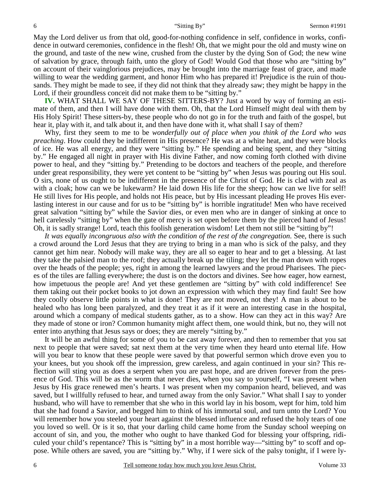May the Lord deliver us from that old, good-for-nothing confidence in self, confidence in works, confidence in outward ceremonies, confidence in the flesh! Oh, that we might pour the old and musty wine on the ground, and taste of the new wine, crushed from the cluster by the dying Son of God; the new wine of salvation by grace, through faith, unto the glory of God! Would God that those who are "sitting by" on account of their vainglorious prejudices, may be brought into the marriage feast of grace, and made willing to wear the wedding garment, and honor Him who has prepared it! Prejudice is the ruin of thousands. They might be made to see, if they did not think that they already saw; they might be happy in the Lord, if their groundless conceit did not make them to be "sitting by."

**IV.** WHAT SHALL WE SAY OF THESE SITTERS-BY? Just a word by way of forming an estimate of them, and then I will have done with them. Oh, that the Lord Himself might deal with them by His Holy Spirit! These sitters-by, these people who do not go in for the truth and faith of the gospel, but hear it, play with it, and talk about it, and then have done with it, what shall I say of them?

Why, first they seem to me to be *wonderfully out of place when you think of the Lord who was preaching*. How could they be indifferent in His presence? He was at a white heat, and they were blocks of ice. He was all energy, and they were "sitting by." He spending and being spent, and they "sitting by." He engaged all night in prayer with His divine Father, and now coming forth clothed with divine power to heal, and they "sitting by." Pretending to be doctors and teachers of the people, and therefore under great responsibility, they were yet content to be "sitting by" when Jesus was pouring out His soul. O sirs, none of us ought to be indifferent in the presence of the Christ of God. He is clad with zeal as with a cloak; how can we be lukewarm? He laid down His life for the sheep; how can we live for self! He still lives for His people, and holds not His peace, but by His incessant pleading He proves His everlasting interest in our cause and for us to be "sitting by" is horrible ingratitude! Men who have received great salvation "sitting by" while the Savior dies, or even men who are in danger of sinking at once to hell carelessly "sitting by" when the gate of mercy is set open before them by the pierced hand of Jesus! Oh, it is sadly strange! Lord, teach this foolish generation wisdom! Let them not still be "sitting by"!

It was equally incongruous also with the condition of the rest of the congregation. See, there is such a crowd around the Lord Jesus that they are trying to bring in a man who is sick of the palsy, and they cannot get him near. Nobody will make way, they are all so eager to hear and to get a blessing. At last they take the palsied man to the roof; they actually break up the tiling; they let the man down with ropes over the heads of the people; yes, right in among the learned lawyers and the proud Pharisees. The pieces of the tiles are falling everywhere; the dust is on the doctors and divines. See how eager, how earnest, how impetuous the people are! And yet these gentlemen are "sitting by" with cold indifference! See them taking out their pocket books to jot down an expression with which they may find fault! See how they coolly observe little points in what is done! They are not moved, not they! A man is about to be healed who has long been paralyzed, and they treat it as if it were an interesting case in the hospital, around which a company of medical students gather, as to a show. How can they act in this way? Are they made of stone or iron? Common humanity might affect them, one would think, but no, they will not enter into anything that Jesus says or does; they are merely "sitting by."

It will be an awful thing for some of you to be cast away forever, and then to remember that you sat next to people that were saved; sat next them at the very time when they heard unto eternal life. How will you bear to know that these people were saved by that powerful sermon which drove even you to your knees, but you shook off the impression, grew careless, and again continued in your sin? This reflection will sting you as does a serpent when you are past hope, and are driven forever from the presence of God. This will be as the worm that never dies, when you say to yourself, "I was present when Jesus by His grace renewed men's hearts. I was present when my companion heard, believed, and was saved, but I willfully refused to hear, and turned away from the only Savior." What shall I say to yonder husband, who will have to remember that she who in this world lay in his bosom, wept for him, told him that she had found a Savior, and begged him to think of his immortal soul, and turn unto the Lord? You will remember how you steeled your heart against the blessed influence and refused the holy tears of one you loved so well. Or is it so, that your darling child came home from the Sunday school weeping on account of sin, and you, the mother who ought to have thanked God for blessing your offspring, ridiculed your child's repentance? This is "sitting by" in a most horrible way—"sitting by" to scoff and oppose. While others are saved, you are "sitting by." Why, if I were sick of the palsy tonight, if I were ly-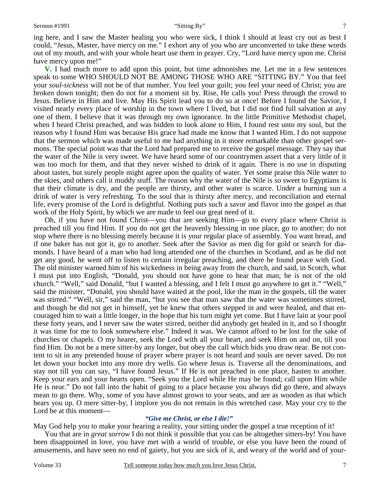ing here, and I saw the Master healing you who were sick, I think I should at least cry out as best I could, "Jesus, Master, have mercy on me." I exhort any of you who are unconverted to take these words out of my mouth, and with your whole heart use them in prayer. Cry, "Lord have mercy upon me. Christ have mercy upon me!"

**V.** I had much more to add upon this point, but time admonishes me. Let me in a few sentences speak to some WHO SHOULD NOT BE AMONG THOSE WHO ARE "SITTING BY." You that feel your *soul-sickness* will not be of that number. You feel your guilt; you feel your need of Christ; you are broken down tonight; then do not for a moment sit by. Rise, He calls you! Press through the crowd to Jesus. Believe in Him and live. May His Spirit lead you to do so at once! Before I found the Savior, I visited nearly every place of worship in the town where I lived, but I did not find full salvation at any one of them. I believe that it was through my own ignorance. In the little Primitive Methodist chapel, when I heard Christ preached, and was bidden to look alone to Him, I found rest unto my soul, but the reason why I found Him was because His grace had made me know that I wanted Him. I do not suppose that the sermon which was made useful to me had anything in it more remarkable than other gospel sermons. The special point was that the Lord had prepared me to receive the gospel message. They say that the water of the Nile is very sweet. We have heard some of our countrymen assert that a very little of it was too much for them, and that they never wished to drink of it again. There is no use in disputing about tastes, but surely people might agree upon the quality of water. Yet some praise this Nile water to the skies, and others call it muddy stuff. The reason why the water of the Nile is so sweet to Egyptians is that their climate is dry, and the people are thirsty, and other water is scarce. Under a burning sun a drink of water is very refreshing. To the soul that is thirsty after mercy, and reconciliation and eternal life, every promise of the Lord is delightful. Nothing puts such a savor and flavor into the gospel as that work of the Holy Spirit, by which we are made to feel our great need of it.

Oh, if you have not found Christ—you that are seeking Him—go to every place where Christ is preached till you find Him. If you do not get the heavenly blessing in one place, go to another; do not stop where there is no blessing merely because it is your regular place of assembly. You want bread, and if one baker has not got it, go to another. Seek after the Savior as men dig for gold or search for diamonds. I have heard of a man who had long attended one of the churches in Scotland, and as he did not get any good, he went off to listen to certain irregular preaching, and there he found peace with God. The old minister warned him of his wickedness in being away from the church, and said, in Scotch, what I must put into English, "Donald, you should not have gone to hear that man; he is not of the old church." "Well," said Donald, "but I wanted a blessing, and I felt I must go anywhere to get it." "Well," said the minister, "Donald, you should have waited at the pool, like the man in the gospels, till the water was stirred." "Well, sir," said the man, "but you see that man saw that the water was sometimes stirred, and though he did not get in himself, yet he knew that others stepped in and were healed, and that encouraged him to wait a little longer, in the hope that his turn might yet come. But I have lain at your pool these forty years, and I never saw the water stirred, neither did anybody get healed in it, and so I thought it was time for me to look somewhere else." Indeed it was. We cannot afford to be lost for the sake of churches or chapels. O my hearer, seek the Lord with all your heart, and seek Him on and on, till you find Him. Do not be a mere sitter-by any longer, but obey the call which bids you draw near. Be not content to sit in any pretended house of prayer where prayer is not heard and souls are never saved. Do not let down your bucket into any more dry wells. Go where Jesus is. Traverse all the denominations, and stay not till you can say, "I have found Jesus." If He is not preached in one place, hasten to another. Keep your ears and your hearts open. "Seek you the Lord while He may be found; call upon Him while He is near." Do not fall into the habit of going to a place because you always did go there, and always mean to go there. Why, some of you have almost grown to your seats, and are as wooden as that which bears you up. O mere sitter-by, I implore you do not remain in this wretched case. May your cry to the Lord be at this moment—

### *"Give me Christ, or else I die!"*

May God help you to make your hearing a reality, your sitting under the gospel a true reception of it!

You that are in *great sorrow* I do not think it possible that you can be altogether sitters-by! You have been disappointed in love, you have met with a world of trouble, or else you have been the round of amusements, and have seen no end of gaiety, but you are sick of it, and weary of the world and of your